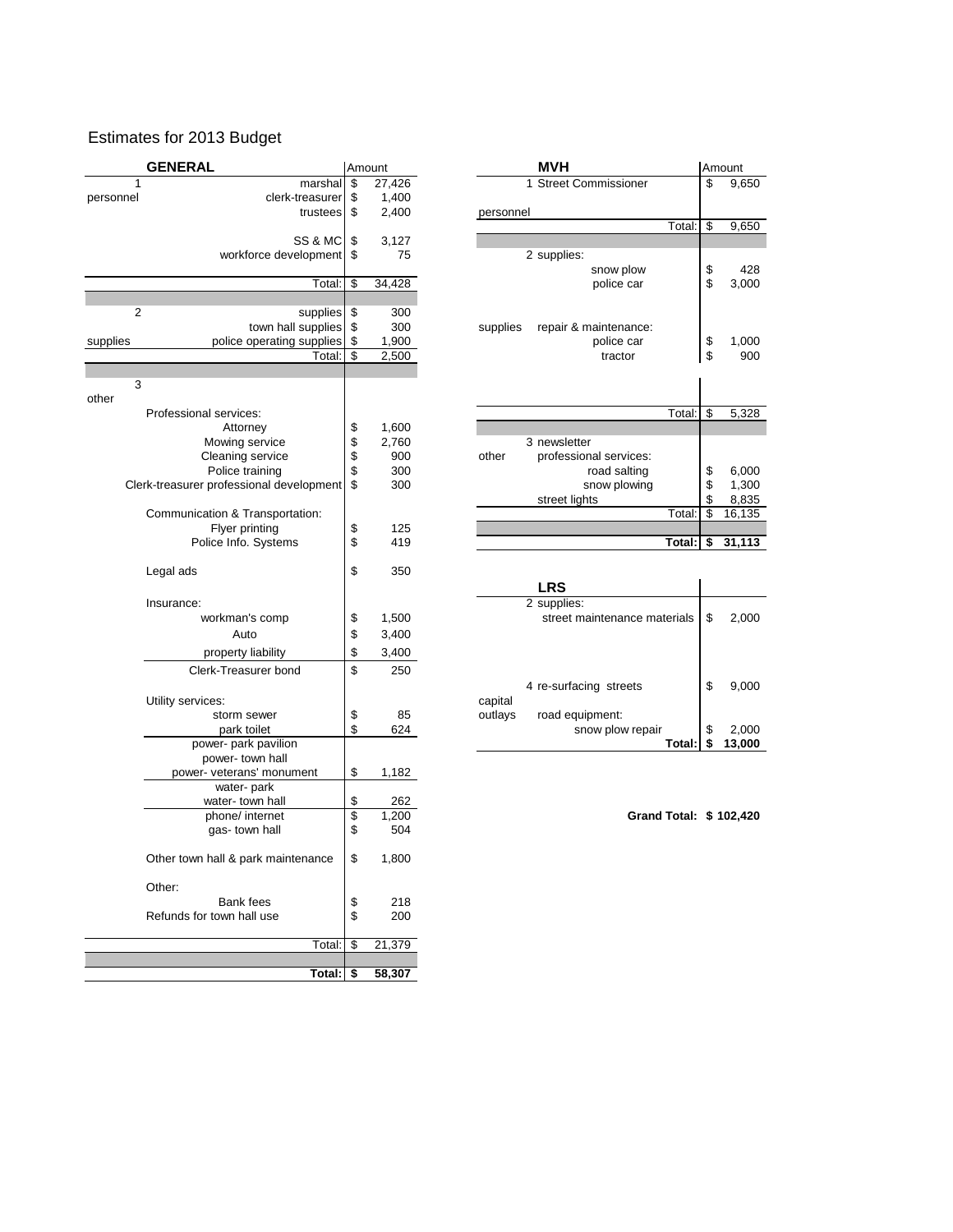## Estimates for 2013 Budget

| <b>GENERAL</b>         |                                          |      | Amount     | <b>MVH</b>                        | Amount |          |  |
|------------------------|------------------------------------------|------|------------|-----------------------------------|--------|----------|--|
|                        | marshal                                  | \$   | 27,426     | 1 Street Commissioner             | \$     | 9,650    |  |
| ٦el                    | clerk-treasurer                          | S    | 1,400      |                                   |        |          |  |
|                        | trustees                                 | \$   | 2,400      | personnel                         |        |          |  |
|                        |                                          |      |            | Total:                            | \$     | 9,650    |  |
|                        | SS & MC                                  | \$   | 3,127      |                                   |        |          |  |
|                        | workforce development                    | - \$ | 75         | 2 supplies:                       |        |          |  |
|                        |                                          |      |            | snow plow                         | \$     | 428      |  |
|                        | Total:                                   | \$   | 34,428     | police car                        | \$     | 3,000    |  |
|                        |                                          |      |            |                                   |        |          |  |
| $\overline{2}$         | supplies                                 | \$   | 300        |                                   |        |          |  |
|                        | town hall supplies                       | \$   | 300        | repair & maintenance:<br>supplies |        |          |  |
|                        | police operating supplies                |      | 1,900      | police car                        | \$     | 1,000    |  |
|                        | Total:                                   | \$   | 2,500      | tractor                           | \$     | 900      |  |
|                        |                                          |      |            |                                   |        |          |  |
| 3                      |                                          |      |            |                                   |        |          |  |
|                        |                                          |      |            |                                   |        |          |  |
| Professional services: |                                          |      |            | Total:                            | \$     | 5,328    |  |
|                        | Attorney                                 | \$   | 1,600      |                                   |        |          |  |
|                        | Mowing service                           | \$   | 2,760      | 3 newsletter                      |        |          |  |
|                        | Cleaning service                         | \$   | 900        | other<br>professional services:   |        |          |  |
|                        | Police training                          | \$   | 300        | road salting                      | \$     | 6,000    |  |
|                        | Clerk-treasurer professional development | \$   | 300        | snow plowing                      | \$     | 1,300    |  |
|                        |                                          |      |            | street lights                     |        | 8,835    |  |
|                        | Communication & Transportation:          |      |            | Total:                            | \$     | 16,135   |  |
|                        | Flyer printing                           | \$   | 125        |                                   |        |          |  |
|                        | Police Info. Systems                     | \$   | 419        | Total:                            |        | \$31,113 |  |
|                        |                                          |      |            |                                   |        |          |  |
|                        | $1$ can $\sim$                           | ¢    | <b>250</b> |                                   |        |          |  |

|                      |    |       | <b>LRS</b>                   |        |
|----------------------|----|-------|------------------------------|--------|
| e:                   |    |       | 2 supplies:                  |        |
| workman's comp       | S  | 1,500 | street maintenance materials | 2,000  |
| Auto                 | \$ | 3,400 |                              |        |
| property liability   | \$ | 3,400 |                              |        |
| Clerk-Treasurer bond | \$ | 250   |                              |        |
|                      |    |       | 4 re-surfacing streets       | 9,000  |
| rvices:              |    |       | capital                      |        |
| storm sewer          | \$ | 85    | road equipment:<br>outlays   |        |
| park toilet          | \$ | 624   | snow plow repair             | 2,000  |
| power- park pavilion |    |       | Total: I                     | 13,000 |
|                      |    |       |                              |        |

|           | <b>GENERAL</b>                           |                                           | Amount      | <b>MVH</b> |                                             |        |    | Amount |
|-----------|------------------------------------------|-------------------------------------------|-------------|------------|---------------------------------------------|--------|----|--------|
| 1         | marshal                                  | \$                                        | 27,426      |            | 1 Street Commissioner                       |        | \$ | 9,650  |
| personnel | clerk-treasurer                          | \$                                        | 1,400       |            |                                             |        |    |        |
|           | trustees                                 | \$                                        | 2,400       | personnel  |                                             |        |    |        |
|           |                                          |                                           |             |            |                                             | Total: | \$ | 9,650  |
|           | SS & MC<br>workforce development         | \$<br>\$                                  | 3,127<br>75 |            | 2 supplies:                                 |        |    |        |
|           |                                          |                                           |             |            | snow plow                                   |        | \$ | 428    |
|           | Total:                                   | \$                                        | 34,428      |            | police car                                  |        | \$ | 3,000  |
|           |                                          |                                           |             |            |                                             |        |    |        |
|           | 2<br>supplies                            | \$                                        | 300         |            |                                             |        |    |        |
|           | town hall supplies                       | \$                                        | 300         | supplies   | repair & maintenance:                       |        |    |        |
| supplies  | police operating supplies                | \$                                        | 1,900       |            | police car                                  |        | \$ | 1,000  |
|           | Total:                                   | \$                                        | 2,500       |            | tractor                                     |        | \$ | 900    |
| 3         |                                          |                                           |             |            |                                             |        |    |        |
| other     |                                          |                                           |             |            |                                             |        |    |        |
|           | Professional services:                   |                                           |             |            |                                             | Total: | \$ | 5,328  |
|           | Attorney                                 | \$                                        | 1,600       |            |                                             |        |    |        |
|           | Mowing service                           | \$                                        | 2,760       |            | 3 newsletter                                |        |    |        |
|           | Cleaning service                         | \$                                        | 900         | other      | professional services:                      |        |    |        |
|           | Police training                          | \$                                        | 300         |            | road salting                                |        | \$ | 6,000  |
|           | Clerk-treasurer professional development | \$                                        | 300         |            | snow plowing                                |        | \$ | 1,300  |
|           |                                          |                                           |             |            | street lights                               |        |    | 8,835  |
|           | Communication & Transportation:          |                                           |             |            |                                             | Total: | \$ | 16,135 |
|           | Flyer printing                           | \$                                        | 125         |            |                                             |        |    |        |
|           | Police Info. Systems                     | \$                                        | 419         |            |                                             | Total: | \$ | 31,113 |
|           |                                          | \$                                        |             |            |                                             |        |    |        |
|           | Legal ads                                |                                           | 350         |            | <b>LRS</b>                                  |        |    |        |
|           |                                          |                                           |             |            |                                             |        |    |        |
|           | Insurance:<br>workman's comp             | \$                                        | 1,500       |            | 2 supplies:<br>street maintenance materials |        | \$ | 2,000  |
|           |                                          |                                           |             |            |                                             |        |    |        |
|           | Auto                                     | \$                                        | 3,400       |            |                                             |        |    |        |
|           | property liability                       | \$                                        | 3,400       |            |                                             |        |    |        |
|           | Clerk-Treasurer bond                     | \$                                        | 250         |            |                                             |        |    |        |
|           |                                          |                                           |             |            | 4 re-surfacing streets                      |        | \$ | 9,000  |
|           | Utility services:                        |                                           |             | capital    |                                             |        |    |        |
|           | storm sewer                              | \$                                        | 85          | outlays    | road equipment:                             |        |    |        |
|           | park toilet                              | \$                                        | 624         |            | snow plow repair                            |        | \$ | 2,000  |
|           | power- park pavilion                     |                                           |             |            |                                             | Total: | \$ | 13,000 |
|           | power- town hall                         |                                           |             |            |                                             |        |    |        |
|           | power- veterans' monument<br>water-park  | \$                                        | 1,182       |            |                                             |        |    |        |
|           | water-town hall                          | \$                                        | 262         |            |                                             |        |    |        |
|           | phone/ internet                          | \$                                        | 1,200       |            | Grand Total: \$102,420                      |        |    |        |
|           | gas-town hall                            | \$                                        | 504         |            |                                             |        |    |        |
|           |                                          |                                           |             |            |                                             |        |    |        |
|           | Other town hall & park maintenance       | \$                                        | 1,800       |            |                                             |        |    |        |
|           |                                          |                                           |             |            |                                             |        |    |        |
|           | Other:                                   |                                           |             |            |                                             |        |    |        |
|           | Bank fees                                | $\, \, \raisebox{12pt}{$\scriptstyle \$}$ | 218         |            |                                             |        |    |        |
|           | Refunds for town hall use                | $\ddot{s}$                                | 200         |            |                                             |        |    |        |
|           |                                          |                                           |             |            |                                             |        |    |        |
|           | Total:                                   | $\overline{\mathcal{S}}$                  | 21,379      |            |                                             |        |    |        |
|           | Total:                                   | \$                                        | 58,307      |            |                                             |        |    |        |
|           |                                          |                                           |             |            |                                             |        |    |        |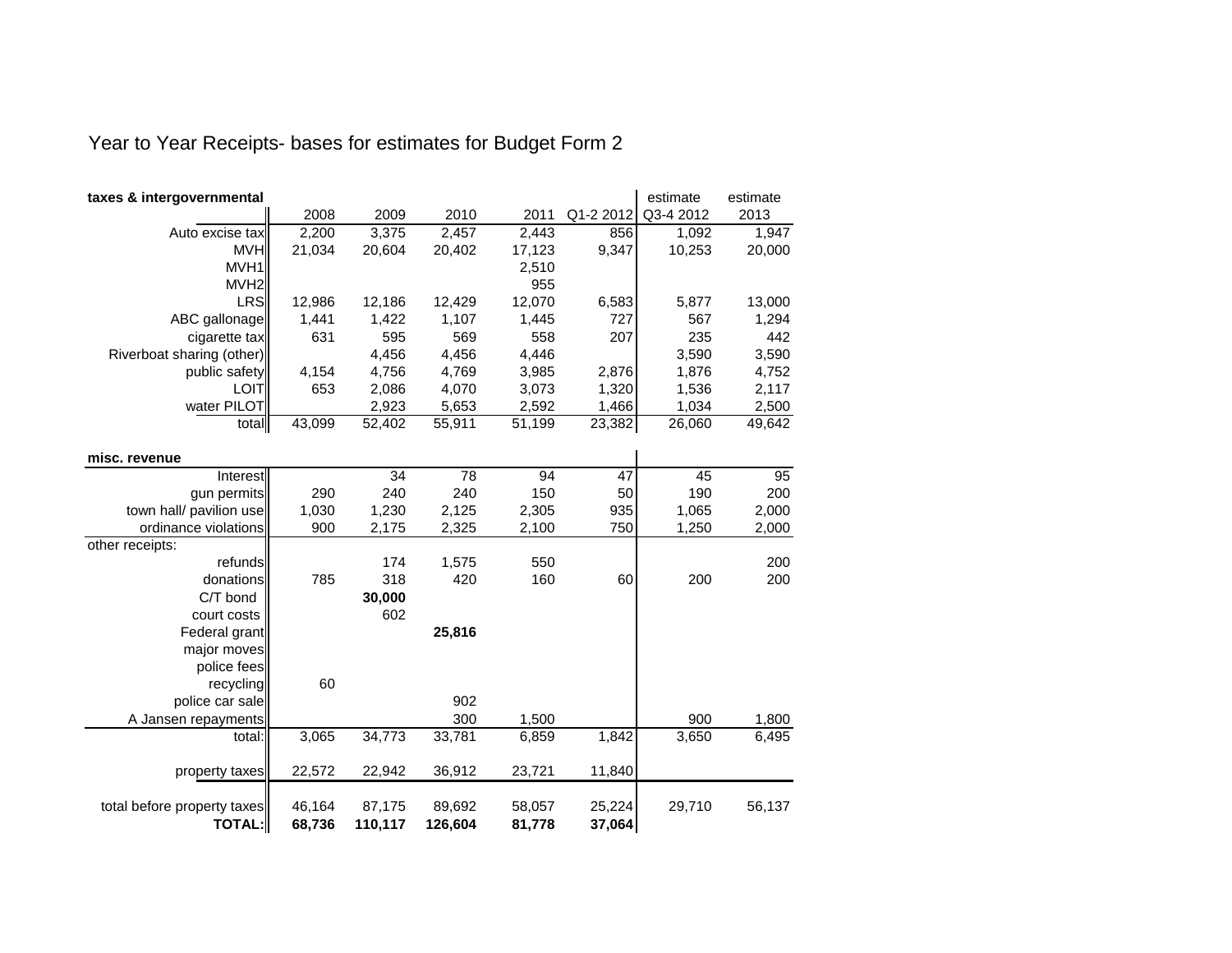## Year to Year Receipts- bases for estimates for Budget Form 2

| 2008<br>2009<br>2010<br>Q1-2 2012<br>Q3-4 2012<br>2013<br>2011<br>2,200<br>3,375<br>2,457<br>2,443<br>856<br>1,092<br>Auto excise tax<br><b>MVH</b><br>21,034<br>20,604<br>20,402<br>9,347<br>10,253<br>17,123<br>MVH1<br>2,510<br>MVH <sub>2</sub><br>955<br><b>LRS</b><br>12,986<br>12,429<br>12,070<br>6,583<br>5,877<br>13,000<br>12,186<br>ABC gallonage<br>1,422<br>727<br>567<br>1,441<br>1,107<br>1,445<br>595<br>569<br>207<br>235<br>631<br>558<br>cigarette tax<br>4,456<br>4,446<br>3,590<br>3,590<br>Riverboat sharing (other)<br>4,456<br>4,154<br>4,756<br>2,876<br>1,876<br>4,752<br>public safety<br>4,769<br>3,985 | taxes & intergovernmental |     |       |       |       |       | estimate | estimate |
|--------------------------------------------------------------------------------------------------------------------------------------------------------------------------------------------------------------------------------------------------------------------------------------------------------------------------------------------------------------------------------------------------------------------------------------------------------------------------------------------------------------------------------------------------------------------------------------------------------------------------------------|---------------------------|-----|-------|-------|-------|-------|----------|----------|
|                                                                                                                                                                                                                                                                                                                                                                                                                                                                                                                                                                                                                                      |                           |     |       |       |       |       |          |          |
|                                                                                                                                                                                                                                                                                                                                                                                                                                                                                                                                                                                                                                      |                           |     |       |       |       |       |          | 1,947    |
|                                                                                                                                                                                                                                                                                                                                                                                                                                                                                                                                                                                                                                      |                           |     |       |       |       |       |          | 20,000   |
|                                                                                                                                                                                                                                                                                                                                                                                                                                                                                                                                                                                                                                      |                           |     |       |       |       |       |          |          |
|                                                                                                                                                                                                                                                                                                                                                                                                                                                                                                                                                                                                                                      |                           |     |       |       |       |       |          |          |
|                                                                                                                                                                                                                                                                                                                                                                                                                                                                                                                                                                                                                                      |                           |     |       |       |       |       |          |          |
|                                                                                                                                                                                                                                                                                                                                                                                                                                                                                                                                                                                                                                      |                           |     |       |       |       |       |          | 1,294    |
|                                                                                                                                                                                                                                                                                                                                                                                                                                                                                                                                                                                                                                      |                           |     |       |       |       |       |          | 442      |
|                                                                                                                                                                                                                                                                                                                                                                                                                                                                                                                                                                                                                                      |                           |     |       |       |       |       |          |          |
|                                                                                                                                                                                                                                                                                                                                                                                                                                                                                                                                                                                                                                      |                           |     |       |       |       |       |          |          |
|                                                                                                                                                                                                                                                                                                                                                                                                                                                                                                                                                                                                                                      | <b>LOIT</b>               | 653 | 2,086 | 4,070 | 3,073 | 1,320 | 1,536    | 2,117    |
| water PILOT<br>1,466<br>2,923<br>5,653<br>1,034<br>2,592                                                                                                                                                                                                                                                                                                                                                                                                                                                                                                                                                                             |                           |     |       |       |       |       |          | 2,500    |
| 43,099<br>52,402<br>55,911<br>51,199<br>23,382<br>26,060<br>total                                                                                                                                                                                                                                                                                                                                                                                                                                                                                                                                                                    |                           |     |       |       |       |       |          | 49,642   |
|                                                                                                                                                                                                                                                                                                                                                                                                                                                                                                                                                                                                                                      |                           |     |       |       |       |       |          |          |
| misc. revenue                                                                                                                                                                                                                                                                                                                                                                                                                                                                                                                                                                                                                        |                           |     |       |       |       |       |          |          |
| 34<br>78<br>94<br>47<br>45<br>Interest                                                                                                                                                                                                                                                                                                                                                                                                                                                                                                                                                                                               |                           |     |       |       |       |       |          | 95       |
| gun permits<br>290<br>240<br>240<br>150<br>190<br>50                                                                                                                                                                                                                                                                                                                                                                                                                                                                                                                                                                                 |                           |     |       |       |       |       |          | 200      |
| town hall/ pavilion use<br>1,230<br>1,030<br>2,125<br>2,305<br>935<br>1,065                                                                                                                                                                                                                                                                                                                                                                                                                                                                                                                                                          |                           |     |       |       |       |       |          | 2,000    |
| ordinance violations<br>2,175<br>750<br>900<br>2,325<br>2,100<br>1,250                                                                                                                                                                                                                                                                                                                                                                                                                                                                                                                                                               |                           |     |       |       |       |       |          | 2,000    |
| other receipts:                                                                                                                                                                                                                                                                                                                                                                                                                                                                                                                                                                                                                      |                           |     |       |       |       |       |          |          |
| 1,575<br>550<br>refunds<br>174                                                                                                                                                                                                                                                                                                                                                                                                                                                                                                                                                                                                       |                           |     |       |       |       |       |          | 200      |
| 160<br>318<br>200<br>donations<br>785<br>420<br>60                                                                                                                                                                                                                                                                                                                                                                                                                                                                                                                                                                                   |                           |     |       |       |       |       |          | 200      |
| C/T bond<br>30,000                                                                                                                                                                                                                                                                                                                                                                                                                                                                                                                                                                                                                   |                           |     |       |       |       |       |          |          |
| court costs<br>602                                                                                                                                                                                                                                                                                                                                                                                                                                                                                                                                                                                                                   |                           |     |       |       |       |       |          |          |
| 25,816<br>Federal grant                                                                                                                                                                                                                                                                                                                                                                                                                                                                                                                                                                                                              |                           |     |       |       |       |       |          |          |
| major moves                                                                                                                                                                                                                                                                                                                                                                                                                                                                                                                                                                                                                          |                           |     |       |       |       |       |          |          |
| police fees                                                                                                                                                                                                                                                                                                                                                                                                                                                                                                                                                                                                                          |                           |     |       |       |       |       |          |          |
| 60<br>recycling                                                                                                                                                                                                                                                                                                                                                                                                                                                                                                                                                                                                                      |                           |     |       |       |       |       |          |          |
| 902<br>police car sale                                                                                                                                                                                                                                                                                                                                                                                                                                                                                                                                                                                                               |                           |     |       |       |       |       |          |          |
| 300<br>1,500<br>900<br>A Jansen repayments                                                                                                                                                                                                                                                                                                                                                                                                                                                                                                                                                                                           |                           |     |       |       |       |       |          | 1,800    |
| 33,781<br>3,065<br>34,773<br>1,842<br>3,650<br>6,859<br>total:                                                                                                                                                                                                                                                                                                                                                                                                                                                                                                                                                                       |                           |     |       |       |       |       |          | 6,495    |
| 22,572<br>36,912<br>23,721<br>11,840<br>22,942<br>property taxes                                                                                                                                                                                                                                                                                                                                                                                                                                                                                                                                                                     |                           |     |       |       |       |       |          |          |
| 46,164<br>89,692<br>58,057<br>25,224<br>29,710<br>total before property taxes<br>87,175                                                                                                                                                                                                                                                                                                                                                                                                                                                                                                                                              |                           |     |       |       |       |       |          | 56,137   |
| <b>TOTAL:</b><br>68,736<br>126,604<br>37,064<br>110,117<br>81,778                                                                                                                                                                                                                                                                                                                                                                                                                                                                                                                                                                    |                           |     |       |       |       |       |          |          |